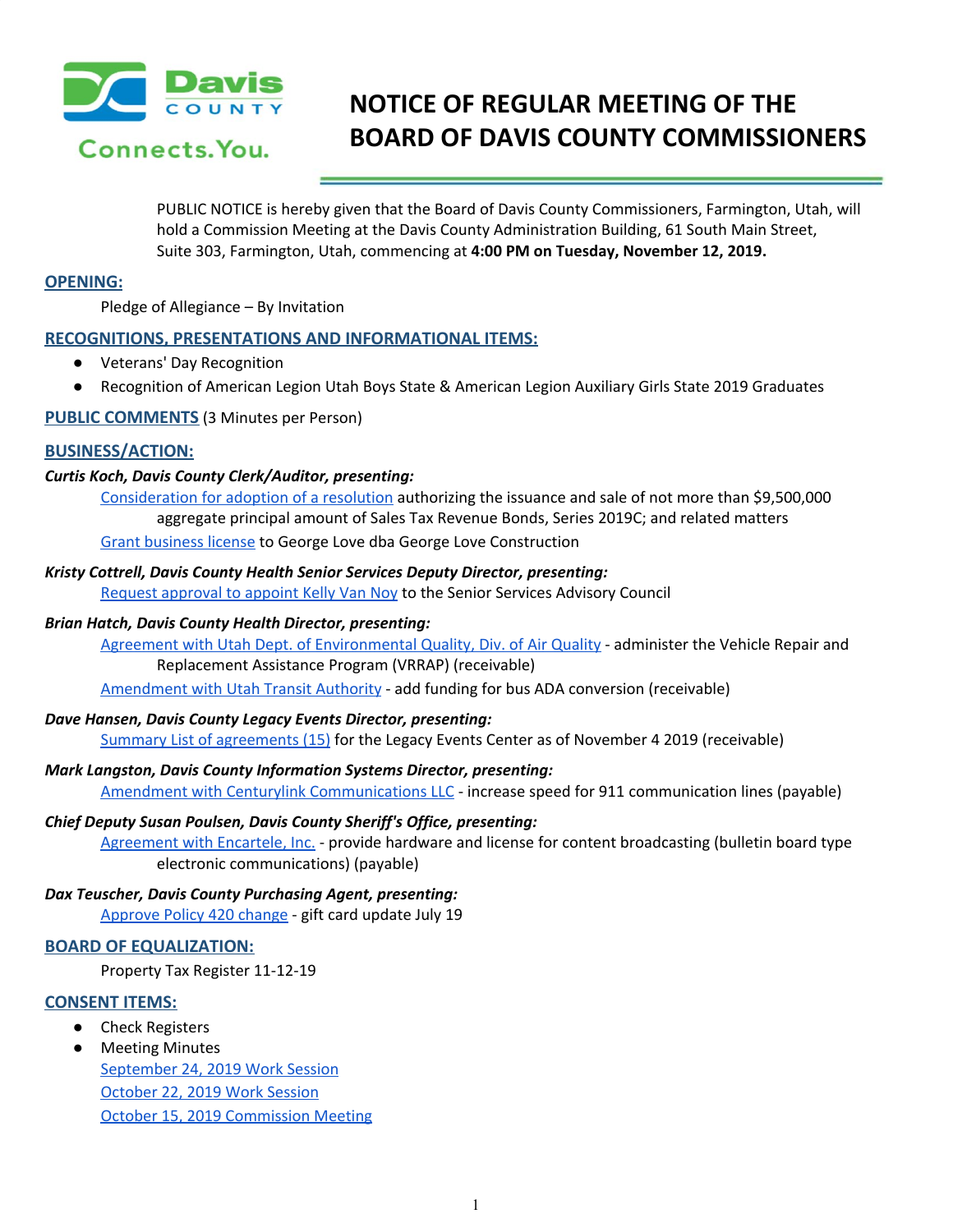

# **NOTICE OF REGULAR MEETING OF THE BOARD OF DAVIS COUNTY COMMISSIONERS**

PUBLIC NOTICE is hereby given that the Board of Davis County Commissioners, Farmington, Utah, will hold a Commission Meeting at the Davis County Administration Building, 61 South Main Street, Suite 303, Farmington, Utah, commencing at **4:00 PM on Tuesday, November 12, 2019.**

# **OPENING:**

Pledge of Allegiance – By Invitation

# **RECOGNITIONS, PRESENTATIONS AND INFORMATIONAL ITEMS:**

- Veterans' Day Recognition
- Recognition of American Legion Utah Boys State & American Legion Auxiliary Girls State 2019 Graduates

# **PUBLIC COMMENTS** (3 Minutes per Person)

# **BUSINESS/ACTION:**

# *Curtis Koch, Davis County Clerk/Auditor, presenting:*

[Consideration](https://drive.google.com/a/co.davis.ut.us/file/d/1QBzAWgvpBEPdXwMDqo54naJEe1iJZ5BZ/view?usp=drivesdk) for adoption of a resolution authorizing the issuance and sale of not more than \$9,500,000 aggregate principal amount of Sales Tax Revenue Bonds, Series 2019C; and related matters Grant [business](https://drive.google.com/a/co.davis.ut.us/file/d/14suLmVxZTezUu1BWQ9zMOPbjcC2QgpMZ/view?usp=drivesdk) license to George Love dba George Love Construction

### *Kristy Cottrell, Davis County Health Senior Services Deputy Director, presenting:*

Request [approval](https://drive.google.com/a/co.davis.ut.us/file/d/1WQ9yfkrN4FyV6NYybouIHWiJuEqZL2JL/view?usp=drivesdk) to appoint Kelly Van Noy to the Senior Services Advisory Council

## *Brian Hatch, Davis County Health Director, presenting:*

Agreement with Utah Dept. of [Environmental](https://drive.google.com/a/co.davis.ut.us/file/d/1YlVyF5lqOpJfGQwOWByM6lMe81cKtTe3/view?usp=drivesdk) Quality, Div. of Air Quality - administer the Vehicle Repair and Replacement Assistance Program (VRRAP) (receivable)

[Amendment](https://drive.google.com/a/co.davis.ut.us/file/d/13FuUTfn3j5A7Yj_GeB3xt2BkjEgOwkh7/view?usp=drivesdk) with Utah Transit Authority - add funding for bus ADA conversion (receivable)

### *Dave Hansen, Davis County Legacy Events Director, presenting:*

Summary List of [agreements](https://drive.google.com/a/co.davis.ut.us/file/d/1u8cl6T7CxwWcArPcqnfvGQsbm6Sv1TaS/view?usp=drivesdk) (15) for the Legacy Events Center as of November 4 2019 (receivable)

*Mark Langston, Davis County Information Systems Director, presenting:* Amendment with Centurylink [Communications](https://drive.google.com/a/co.davis.ut.us/file/d/1hKEAHGwO1uJW3PYf9FWXI0BKCHtRjF4H/view?usp=drivesdk) LLC - increase speed for 911 communication lines (payable)

# *Chief Deputy Susan Poulsen, Davis County Sheriff's Office, presenting:*

[Agreement](https://drive.google.com/a/co.davis.ut.us/file/d/1LkbxaWZSKEZgZSizCtXa7QMYlYSTPnRy/view?usp=drivesdk) with Encartele, Inc. - provide hardware and license for content broadcasting (bulletin board type electronic communications) (payable)

# *Dax Teuscher, Davis County Purchasing Agent, presenting:*

[Approve](https://drive.google.com/a/co.davis.ut.us/file/d/1FIiUR5mgimtqGYtBln4wZY3xJjU6kr1B/view?usp=drivesdk) Policy 420 change - gift card update July 19

# **BOARD OF EQUALIZATION:**

Property Tax Register 11-12-19

# **CONSENT ITEMS:**

- Check Registers
- Meeting Minutes [September](https://drive.google.com/a/co.davis.ut.us/file/d/16CDPJBp8U0LWW2zbVdMffZvrKtTeYBhJ/view?usp=drivesdk) 24, 2019 Work Session [October](https://drive.google.com/a/co.davis.ut.us/file/d/1v8Twe08S8mdQ1IDXPmmL1-bSAaHohafe/view?usp=drivesdk) 22, 2019 Work Session October 15, 2019 [Commission](https://drive.google.com/a/co.davis.ut.us/file/d/1q_715Nz4VjN79GurolcxOSPgSBlTw6is/view?usp=drivesdk) Meeting